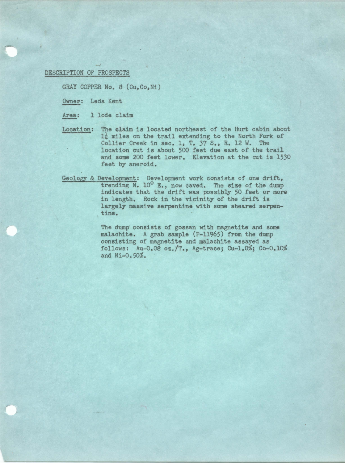## DESCRIPTION OF PROSPECTS

GRAY COPPER No. 8 (Cu,Co,Ni)

Owner: Leda Kent

Area: 1 lode claim

Location: The claim is located northeast of the Hurt cabin about  $l$ ‡ miles on the trail extending to the North Fork of Collier Creek in sec. 1, T. 37 S., R. 12 W. The location cut is about 500 feet due east or the trail and some 200 feet lower. Elevation at the cut is 1530 feet by aneroid.

Geology & Development: Development work consists of one drift, trending N. 10° E., now caved. The size of the dump indicates that the drift was possibly 50 feet or more in length. Rock in the vicinity of the drift is largely massive serpentine with some sheared serpen- . tine.

> The dump consists of gossan with magnetite and some malachite. A grab sample (P-11965) from the dump consisting of magnetite and malachite assayed as follows: Au-0.08 oz.  $/T_{\circ}$ , Ag-trace; Cu-1.0%; Co-0.10% and Ni-0.50%.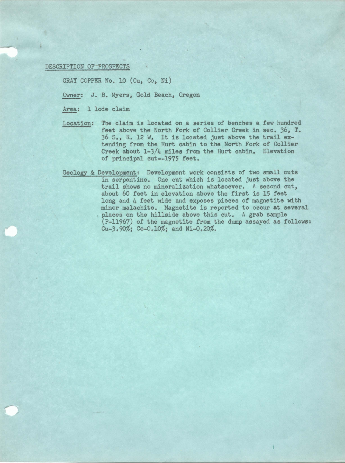DESCRIPTION OF-PROSPECTS

GRAY COPPER No. 10 (Cu, Co, Ni)

Owner: J.B. Myers, Gold Beach, Oregon

Area: 1 lode claim

- Location: The claim is located on a series of benches a few hundred feet above the North Fork of Collier Creek in sec. 36, T. 36 s., R. 12 w. It is located just above the trail extending from the Hurt cabin to the North Fork of Collier Creek about 1-3/4 miles from the Hurt cabin. Elevation of principal cut--1975 feet.
- Geology & Development: Development work consists of two small cuts in serpentine. One cut which is located just above the trail shows no mineralization whatsoever. A second cut, about 60 feet in elevation above the first is 15 feet long and 4 feet wide and exposes pieces of magnetite with minor malachite. Magnetite is reported to occur at several<br>, places on the hillside above this cut. A grab sample (P-11967) of the magnetite from the dump assayed as follows: Cu-3.90%; Co-0.10%; and Ni-0.20%.